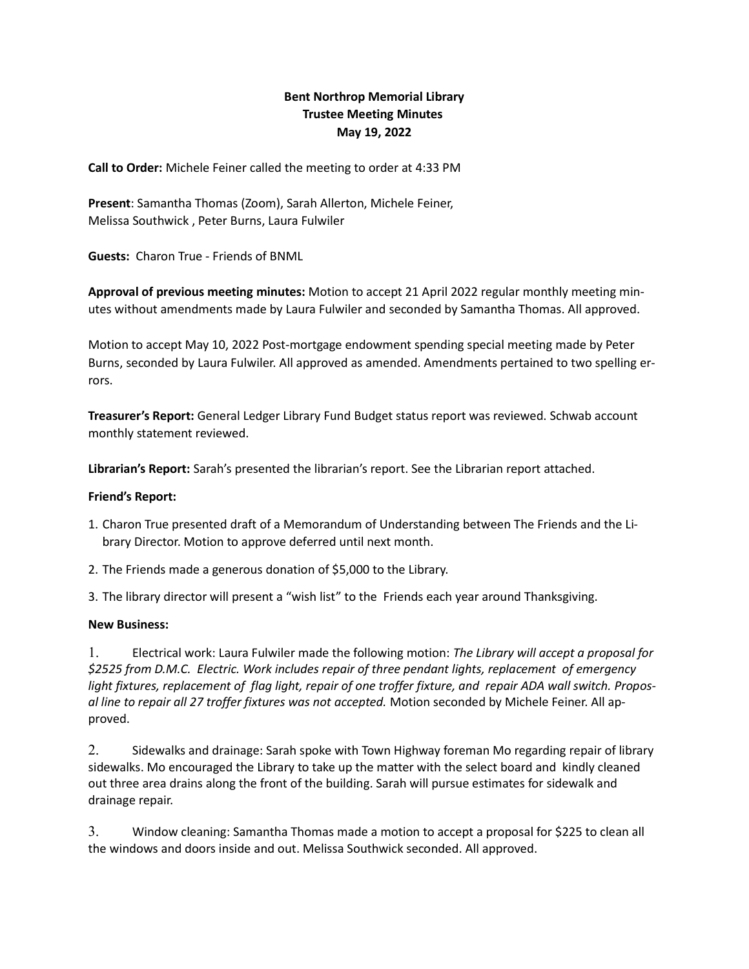# Bent Northrop Memorial Library Trustee Meeting Minutes May 19, 2022

Call to Order: Michele Feiner called the meeting to order at 4:33 PM

Present: Samantha Thomas (Zoom), Sarah Allerton, Michele Feiner, Melissa Southwick , Peter Burns, Laura Fulwiler

Guests: Charon True - Friends of BNML

Approval of previous meeting minutes: Motion to accept 21 April 2022 regular monthly meeting minutes without amendments made by Laura Fulwiler and seconded by Samantha Thomas. All approved.

Motion to accept May 10, 2022 Post-mortgage endowment spending special meeting made by Peter Burns, seconded by Laura Fulwiler. All approved as amended. Amendments pertained to two spelling errors.

Treasurer's Report: General Ledger Library Fund Budget status report was reviewed. Schwab account monthly statement reviewed.

Librarian's Report: Sarah's presented the librarian's report. See the Librarian report attached.

### Friend's Report:

- 1. Charon True presented draft of a Memorandum of Understanding between The Friends and the Library Director. Motion to approve deferred until next month.
- 2. The Friends made a generous donation of \$5,000 to the Library.
- 3. The library director will present a "wish list" to the Friends each year around Thanksgiving.

### New Business:

1. Electrical work: Laura Fulwiler made the following motion: The Library will accept a proposal for \$2525 from D.M.C. Electric. Work includes repair of three pendant lights, replacement of emergency light fixtures, replacement of flag light, repair of one troffer fixture, and repair ADA wall switch. Proposal line to repair all 27 troffer fixtures was not accepted. Motion seconded by Michele Feiner. All approved.

2. Sidewalks and drainage: Sarah spoke with Town Highway foreman Mo regarding repair of library sidewalks. Mo encouraged the Library to take up the matter with the select board and kindly cleaned out three area drains along the front of the building. Sarah will pursue estimates for sidewalk and drainage repair.

3. Window cleaning: Samantha Thomas made a motion to accept a proposal for \$225 to clean all the windows and doors inside and out. Melissa Southwick seconded. All approved.